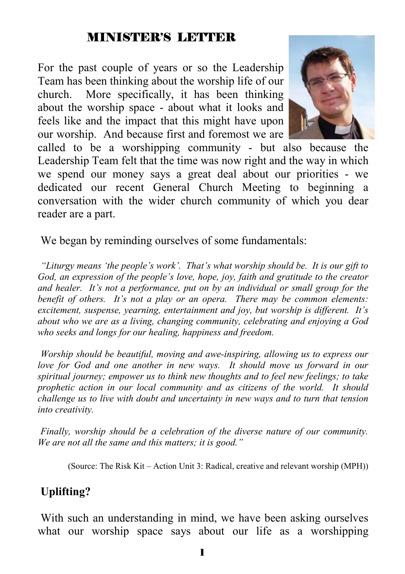#### MINISTER'S LETTER

For the past couple of years or so the Leadership Team has been thinking about the worship life of our church. More specifically, it has been thinking about the worship space - about what it looks and feels like and the impact that this might have upon our worship. And because first and foremost we are



called to be a worshipping community - but also because the Leadership Team felt that the time was now right and the way in which we spend our money says a great deal about our priorities - we dedicated our recent General Church Meeting to beginning a conversation with the wider church community of which you dear reader are a part.

We began by reminding ourselves of some fundamentals:

*"Liturgy means 'the people's work'. That's what worship should be. It is our gift to God, an expression of the people's love, hope, joy, faith and gratitude to the creator and healer. It's not a performance, put on by an individual or small group for the benefit of others. It's not a play or an opera. There may be common elements: excitement, suspense, yearning, entertainment and joy, but worship is different. It's about who we are as a living, changing community, celebrating and enjoying a God who seeks and longs for our healing, happiness and freedom.* 

*Worship should be beautiful, moving and awe-inspiring, allowing us to express our love for God and one another in new ways. It should move us forward in our spiritual journey; empower us to think new thoughts and to feel new feelings; to take prophetic action in our local community and as citizens of the world. It should challenge us to live with doubt and uncertainty in new ways and to turn that tension into creativity.* 

*Finally, worship should be a celebration of the diverse nature of our community. We are not all the same and this matters; it is good."* 

(Source: The Risk Kit – Action Unit 3: Radical, creative and relevant worship (MPH))

#### **Uplifting?**

 With such an understanding in mind, we have been asking ourselves what our worship space says about our life as a worshipping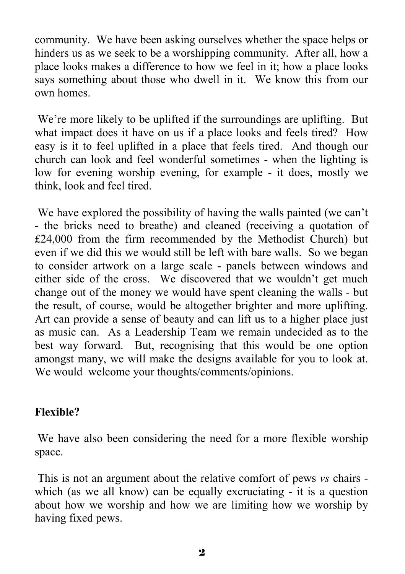community. We have been asking ourselves whether the space helps or hinders us as we seek to be a worshipping community. After all, how a place looks makes a difference to how we feel in it; how a place looks says something about those who dwell in it. We know this from our own homes.

We're more likely to be uplifted if the surroundings are uplifting. But what impact does it have on us if a place looks and feels tired? How easy is it to feel uplifted in a place that feels tired. And though our church can look and feel wonderful sometimes - when the lighting is low for evening worship evening, for example - it does, mostly we think, look and feel tired.

 We have explored the possibility of having the walls painted (we can't - the bricks need to breathe) and cleaned (receiving a quotation of £24,000 from the firm recommended by the Methodist Church) but even if we did this we would still be left with bare walls. So we began to consider artwork on a large scale - panels between windows and either side of the cross. We discovered that we wouldn't get much change out of the money we would have spent cleaning the walls - but the result, of course, would be altogether brighter and more uplifting. Art can provide a sense of beauty and can lift us to a higher place just as music can. As a Leadership Team we remain undecided as to the best way forward. But, recognising that this would be one option amongst many, we will make the designs available for you to look at. We would welcome your thoughts/comments/opinions.

#### **Flexible?**

 We have also been considering the need for a more flexible worship space.

 This is not an argument about the relative comfort of pews *vs* chairs which (as we all know) can be equally excruciating - it is a question about how we worship and how we are limiting how we worship by having fixed pews.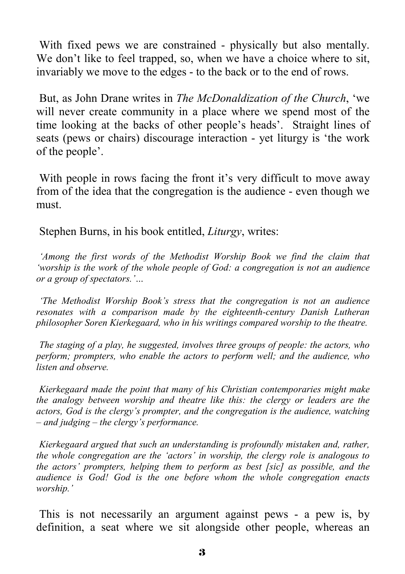With fixed pews we are constrained - physically but also mentally. We don't like to feel trapped, so, when we have a choice where to sit, invariably we move to the edges - to the back or to the end of rows.

 But, as John Drane writes in *The McDonaldization of the Church*, 'we will never create community in a place where we spend most of the time looking at the backs of other people's heads'. Straight lines of seats (pews or chairs) discourage interaction - yet liturgy is 'the work of the people'.

With people in rows facing the front it's very difficult to move away from of the idea that the congregation is the audience - even though we must.

Stephen Burns, in his book entitled, *Liturgy*, writes:

*'Among the first words of the Methodist Worship Book we find the claim that 'worship is the work of the whole people of God: a congregation is not an audience or a group of spectators.'…* 

*'The Methodist Worship Book's stress that the congregation is not an audience resonates with a comparison made by the eighteenth-century Danish Lutheran philosopher Soren Kierkegaard, who in his writings compared worship to the theatre.* 

*The staging of a play, he suggested, involves three groups of people: the actors, who perform; prompters, who enable the actors to perform well; and the audience, who listen and observe.* 

*Kierkegaard made the point that many of his Christian contemporaries might make the analogy between worship and theatre like this: the clergy or leaders are the actors, God is the clergy's prompter, and the congregation is the audience, watching – and judging – the clergy's performance.* 

*Kierkegaard argued that such an understanding is profoundly mistaken and, rather, the whole congregation are the 'actors' in worship, the clergy role is analogous to the actors' prompters, helping them to perform as best [sic] as possible, and the audience is God! God is the one before whom the whole congregation enacts worship.'* 

 This is not necessarily an argument against pews - a pew is, by definition, a seat where we sit alongside other people, whereas an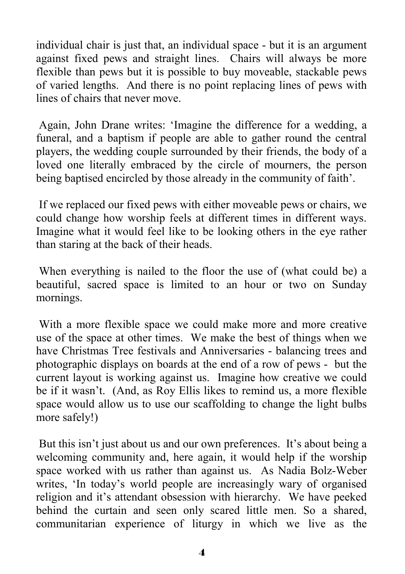individual chair is just that, an individual space - but it is an argument against fixed pews and straight lines. Chairs will always be more flexible than pews but it is possible to buy moveable, stackable pews of varied lengths. And there is no point replacing lines of pews with lines of chairs that never move.

 Again, John Drane writes: 'Imagine the difference for a wedding, a funeral, and a baptism if people are able to gather round the central players, the wedding couple surrounded by their friends, the body of a loved one literally embraced by the circle of mourners, the person being baptised encircled by those already in the community of faith'.

 If we replaced our fixed pews with either moveable pews or chairs, we could change how worship feels at different times in different ways. Imagine what it would feel like to be looking others in the eye rather than staring at the back of their heads.

 When everything is nailed to the floor the use of (what could be) a beautiful, sacred space is limited to an hour or two on Sunday mornings.

 With a more flexible space we could make more and more creative use of the space at other times. We make the best of things when we have Christmas Tree festivals and Anniversaries - balancing trees and photographic displays on boards at the end of a row of pews - but the current layout is working against us. Imagine how creative we could be if it wasn't. (And, as Roy Ellis likes to remind us, a more flexible space would allow us to use our scaffolding to change the light bulbs more safely!)

 But this isn't just about us and our own preferences. It's about being a welcoming community and, here again, it would help if the worship space worked with us rather than against us. As Nadia Bolz-Weber writes, 'In today's world people are increasingly wary of organised religion and it's attendant obsession with hierarchy. We have peeked behind the curtain and seen only scared little men. So a shared, communitarian experience of liturgy in which we live as the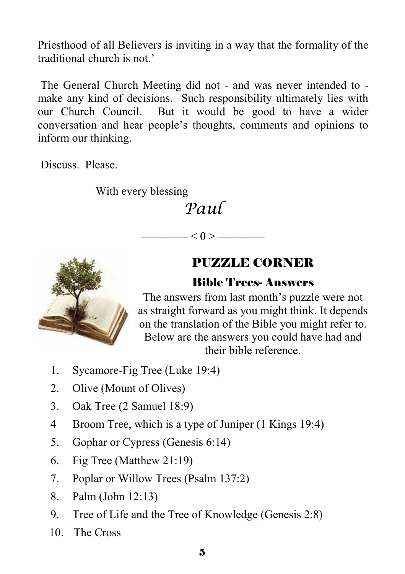Priesthood of all Believers is inviting in a way that the formality of the traditional church is not.'

 The General Church Meeting did not - and was never intended to make any kind of decisions. Such responsibility ultimately lies with our Church Council. But it would be good to have a wider conversation and hear people's thoughts, comments and opinions to inform our thinking.

Discuss. Please.

With every blessing

# *Paul*

 $\left| \alpha \right|$   $<$  0  $>$   $\frac{1}{\alpha}$ 

## PUZZLE CORNER

#### Bible Trees- Answers

The answers from last month's puzzle were not as straight forward as you might think. It depends on the translation of the Bible you might refer to. Below are the answers you could have had and their bible reference.

- 1. Sycamore-Fig Tree (Luke 19:4)
- 2. Olive (Mount of Olives)
- 3. Oak Tree (2 Samuel 18:9)
- 4 Broom Tree, which is a type of Juniper (1 Kings 19:4)
- 5. Gophar or Cypress (Genesis 6:14)
- 6. Fig Tree (Matthew 21:19)
- 7. Poplar or Willow Trees (Psalm 137:2)
- 8. Palm (John 12:13)
- 9. Tree of Life and the Tree of Knowledge (Genesis 2:8)
- 10. The Cross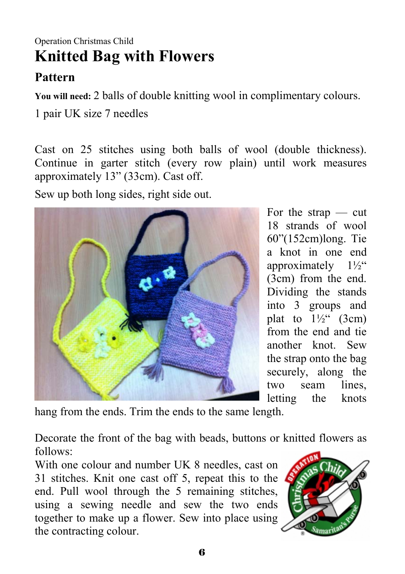# Operation Christmas Child **Knitted Bag with Flowers**

## **Pattern**

**You will need:** 2 balls of double knitting wool in complimentary colours.

1 pair UK size 7 needles

Cast on 25 stitches using both balls of wool (double thickness). Continue in garter stitch (every row plain) until work measures approximately 13" (33cm). Cast off.

Sew up both long sides, right side out.



For the strap — cut 18 strands of wool 60"(152cm)long. Tie a knot in one end approximately  $1\frac{1}{2}$ " (3cm) from the end. Dividing the stands into 3 groups and plat to  $1\frac{1}{2}$  (3cm) from the end and tie another knot. Sew the strap onto the bag securely, along the two seam lines, letting the knots

hang from the ends. Trim the ends to the same length.

Decorate the front of the bag with beads, buttons or knitted flowers as follows:

With one colour and number UK 8 needles, cast on 31 stitches. Knit one cast off 5, repeat this to the end. Pull wool through the 5 remaining stitches, using a sewing needle and sew the two ends together to make up a flower. Sew into place using the contracting colour.

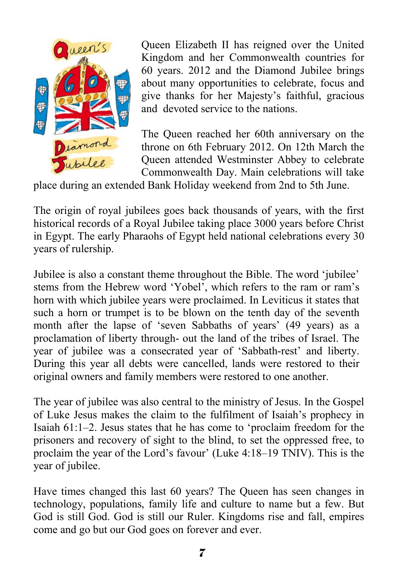

Queen Elizabeth II has reigned over the United Kingdom and her Commonwealth countries for 60 years. 2012 and the Diamond Jubilee brings about many opportunities to celebrate, focus and give thanks for her Majesty's faithful, gracious and devoted service to the nations.

The Queen reached her 60th anniversary on the throne on 6th February 2012. On 12th March the Queen attended Westminster Abbey to celebrate Commonwealth Day. Main celebrations will take

place during an extended Bank Holiday weekend from 2nd to 5th June.

The origin of royal jubilees goes back thousands of years, with the first historical records of a Royal Jubilee taking place 3000 years before Christ in Egypt. The early Pharaohs of Egypt held national celebrations every 30 years of rulership.

Jubilee is also a constant theme throughout the Bible. The word 'jubilee' stems from the Hebrew word 'Yobel', which refers to the ram or ram's horn with which jubilee years were proclaimed. In Leviticus it states that such a horn or trumpet is to be blown on the tenth day of the seventh month after the lapse of 'seven Sabbaths of years' (49 years) as a proclamation of liberty through- out the land of the tribes of Israel. The year of jubilee was a consecrated year of 'Sabbath-rest' and liberty. During this year all debts were cancelled, lands were restored to their original owners and family members were restored to one another.

The year of jubilee was also central to the ministry of Jesus. In the Gospel of Luke Jesus makes the claim to the fulfilment of Isaiah's prophecy in Isaiah 61:1–2. Jesus states that he has come to 'proclaim freedom for the prisoners and recovery of sight to the blind, to set the oppressed free, to proclaim the year of the Lord's favour' (Luke 4:18–19 TNIV). This is the year of jubilee.

Have times changed this last 60 years? The Queen has seen changes in technology, populations, family life and culture to name but a few. But God is still God. God is still our Ruler. Kingdoms rise and fall, empires come and go but our God goes on forever and ever.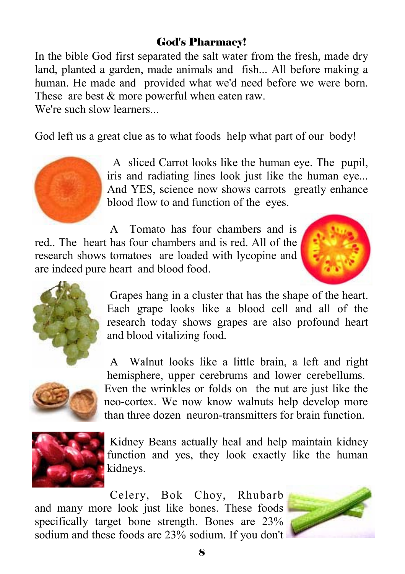#### God's Pharmacy!

In the bible God first separated the salt water from the fresh, made dry land, planted a garden, made animals and fish... All before making a human. He made and provided what we'd need before we were born. These are best  $&$  more powerful when eaten raw.

We're such slow learners.

God left us a great clue as to what foods help what part of our body!



 A sliced Carrot looks like the human eye. The pupil, iris and radiating lines look just like the human eye... And YES, science now shows carrots greatly enhance blood flow to and function of the eyes.

 A Tomato has four chambers and is red.. The heart has four chambers and is red. All of the research shows tomatoes are loaded with lycopine and are indeed pure heart and blood food.





 Grapes hang in a cluster that has the shape of the heart. Each grape looks like a blood cell and all of the research today shows grapes are also profound heart and blood vitalizing food.

 A Walnut looks like a little brain, a left and right hemisphere, upper cerebrums and lower cerebellums. Even the wrinkles or folds on the nut are just like the neo-cortex. We now know walnuts help develop more than three dozen neuron-transmitters for brain function.



 Kidney Beans actually heal and help maintain kidney function and yes, they look exactly like the human kidneys.

 Celery, Bok Choy, Rhubarb and many more look just like bones. These foods specifically target bone strength. Bones are 23% sodium and these foods are 23% sodium. If you don't

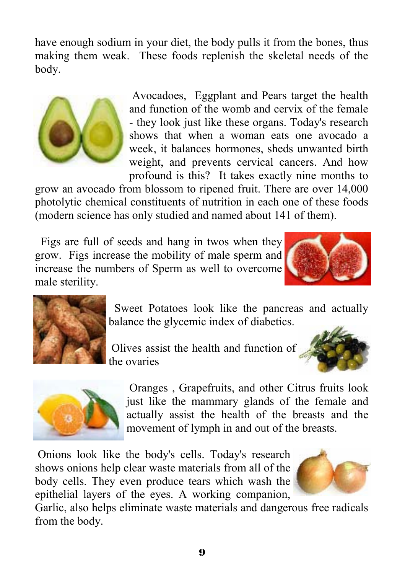have enough sodium in your diet, the body pulls it from the bones, thus making them weak. These foods replenish the skeletal needs of the body.



 Avocadoes, Eggplant and Pears target the health and function of the womb and cervix of the female - they look just like these organs. Today's research shows that when a woman eats one avocado a week, it balances hormones, sheds unwanted birth weight, and prevents cervical cancers. And how profound is this? It takes exactly nine months to

grow an avocado from blossom to ripened fruit. There are over 14,000 photolytic chemical constituents of nutrition in each one of these foods (modern science has only studied and named about 141 of them).

 Figs are full of seeds and hang in twos when they grow. Figs increase the mobility of male sperm and increase the numbers of Sperm as well to overcome male sterility.





 Sweet Potatoes look like the pancreas and actually balance the glycemic index of diabetics.

 Olives assist the health and function of the ovaries





 Oranges , Grapefruits, and other Citrus fruits look just like the mammary glands of the female and actually assist the health of the breasts and the movement of lymph in and out of the breasts.

 Onions look like the body's cells. Today's research shows onions help clear waste materials from all of the body cells. They even produce tears which wash the epithelial layers of the eyes. A working companion,



Garlic, also helps eliminate waste materials and dangerous free radicals from the body.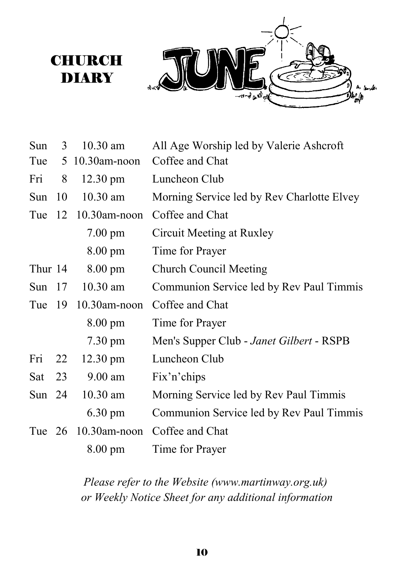

| Sun      | 3  | 10.30 am                 | All Age Worship led by Valerie Ashcroft    |
|----------|----|--------------------------|--------------------------------------------|
| Tue      |    | 5 10.30am-noon           | Coffee and Chat                            |
| Fri      | 8  | $12.30 \text{ pm}$       | Luncheon Club                              |
| Sun      | 10 | $10.30$ am               | Morning Service led by Rev Charlotte Elvey |
| Tue      |    | $12 \quad 10.30$ am-noon | Coffee and Chat                            |
|          |    | $7.00$ pm                | Circuit Meeting at Ruxley                  |
|          |    | $8.00 \text{ pm}$        | Time for Prayer                            |
| Thur 14  |    | $8.00 \text{ pm}$        | <b>Church Council Meeting</b>              |
| Sun $17$ |    | $10.30$ am               | Communion Service led by Rev Paul Timmis   |
| Tue      | 19 | $10.30$ am-noon          | Coffee and Chat                            |
|          |    | 8.00 pm                  | Time for Prayer                            |
|          |    | 7.30 pm                  | Men's Supper Club - Janet Gilbert - RSPB   |
| Fri      | 22 | $12.30 \text{ pm}$       | Luncheon Club                              |
| Sat      | 23 | $9.00$ am                | Fix'n'chips                                |
| Sun $24$ |    | $10.30$ am               | Morning Service led by Rev Paul Timmis     |
|          |    | 6.30 pm                  | Communion Service led by Rev Paul Timmis   |
| Tue $26$ |    | $10.30$ am-noon          | Coffee and Chat                            |
|          |    | $8.00 \text{ pm}$        | Time for Prayer                            |

**CHURCH** DIARY

> *Please refer to the Website (www.martinway.org.uk) or Weekly Notice Sheet for any additional information*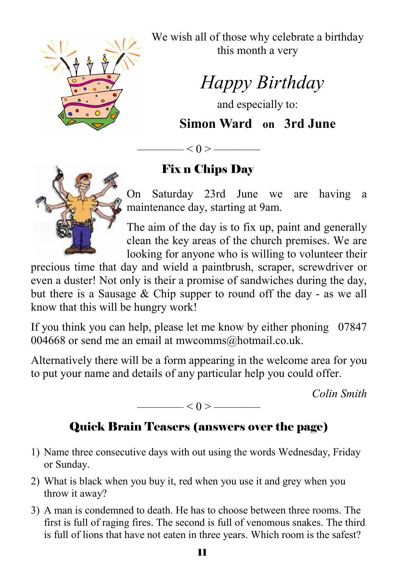

We wish all of those why celebrate a birthday this month a very

 *Happy Birthday* 

and especially to:

**Simon Ward on 3rd June** 

 $- < 0 >$  —

# Fix n Chips Day

On Saturday 23rd June we are having a maintenance day, starting at 9am.

The aim of the day is to fix up, paint and generally clean the key areas of the church premises. We are looking for anyone who is willing to volunteer their

precious time that day and wield a paintbrush, scraper, screwdriver or even a duster! Not only is their a promise of sandwiches during the day, but there is a Sausage & Chip supper to round off the day - as we all know that this will be hungry work!

If you think you can help, please let me know by either phoning 07847 004668 or send me an email at mwcomms@hotmail.co.uk.

Alternatively there will be a form appearing in the welcome area for you to put your name and details of any particular help you could offer.

*Colin Smith* 

 $< 0 >$  ——

# Quick Brain Teasers (answers over the page)

- 1) Name three consecutive days with out using the words Wednesday, Friday or Sunday.
- 2) What is black when you buy it, red when you use it and grey when you throw it away?
- 3) A man is condemned to death. He has to choose between three rooms. The first is full of raging fires. The second is full of venomous snakes. The third is full of lions that have not eaten in three years. Which room is the safest?